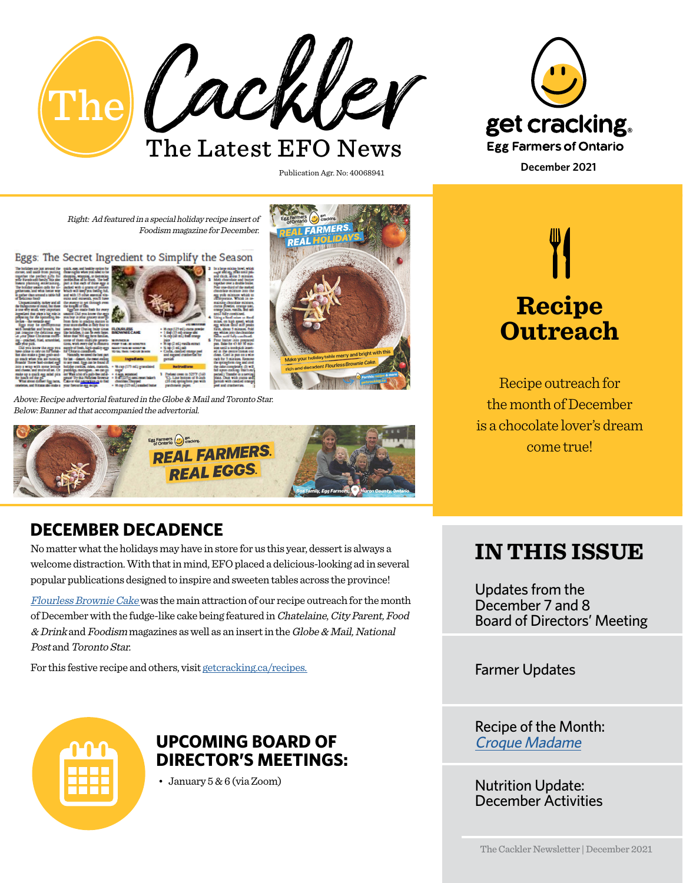

get cracking. **Egg Farmers of Ontario December 2021**

Right: Ad featured in a special holiday recipe insert of Foodism magazine for December.

Eggs: The Secret Ingredient to Simplify the Season



Above: Recipe advertorial featured in the Globe & Mail and Toronto Star. Below: Banner ad that accompanied the advertorial.



### **DECEMBER DECADENCE**

No matter what the holidays may have in store for us this year, dessert is always a welcome distraction. With that in mind, EFO placed a delicious-looking ad in several popular publications designed to inspire and sweeten tables across the province!

[Flourless Brownie Cake](mailto:https://www.getcracking.ca/recipes/brownie-cake?subject=) was the main attraction of our recipe outreach for the month of December with the fudge-like cake being featured in Chatelaine, City Parent, Food & Drink and Foodism magazines as well as an insert in the Globe & Mail, National Post and Toronto Star.

For this festive recipe and others, visit [getcracking.ca/recipes.](mailto:getcracking.ca/recipes%20?subject=)



### **UPCOMING BOARD OF DIRECTOR'S MEETINGS:**

• January 5 & 6 (via Zoom)

**Recipe Outreach**

Recipe outreach for the month of December is a chocolate lover's dream come true!

# **IN THIS ISSUE**

Updates from the December 7 and 8 Board of Directors' Meeting

Farmer Updates

Recipe of the Month: [Croque Madame](https://www.getcracking.ca/recipes/croque-madame)

Nutrition Update: December Activities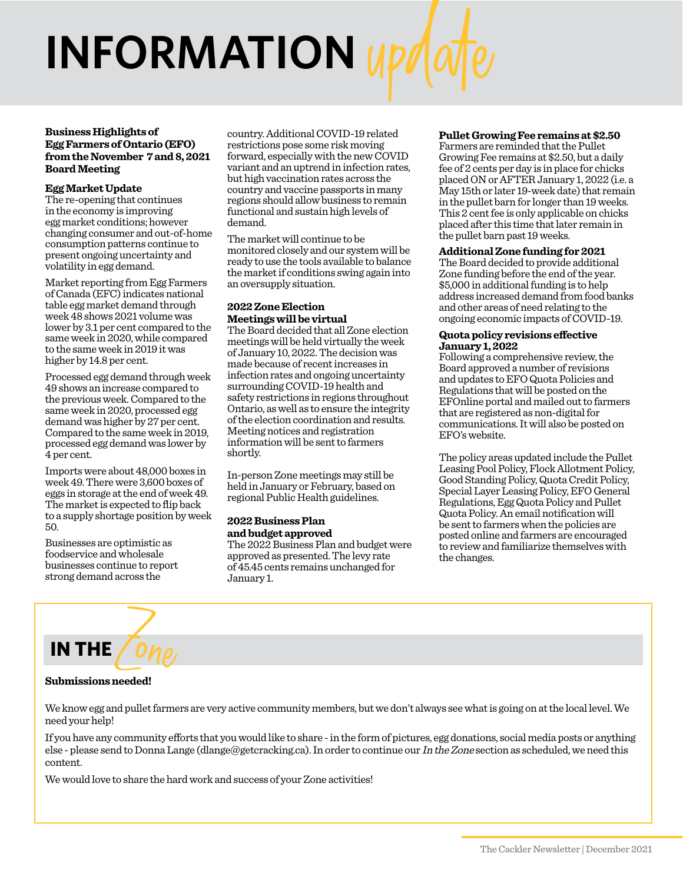# **INFORMATION**

#### **Business Highlights of Egg Farmers of Ontario (EFO) from the November 7 and 8, 2021 Board Meeting**

#### **Egg Market Update**

The re-opening that continues in the economy is improving egg market conditions; however changing consumer and out-of-home consumption patterns continue to present ongoing uncertainty and volatility in egg demand.

Market reporting from Egg Farmers of Canada (EFC) indicates national table egg market demand through week 48 shows 2021 volume was lower by 3.1 per cent compared to the same week in 2020, while compared to the same week in 2019 it was higher by 14.8 per cent.

Processed egg demand through week 49 shows an increase compared to the previous week. Compared to the same week in 2020, processed egg demand was higher by 27 per cent. Compared to the same week in 2019, processed egg demand was lower by 4 per cent.

Imports were about 48,000 boxes in week 49. There were 3,600 boxes of eggs in storage at the end of week 49. The market is expected to flip back to a supply shortage position by week 50.

Businesses are optimistic as foodservice and wholesale businesses continue to report strong demand across the

country. Additional COVID-19 related restrictions pose some risk moving forward, especially with the new COVID variant and an uptrend in infection rates, but high vaccination rates across the country and vaccine passports in many regions should allow business to remain functional and sustain high levels of demand.

The market will continue to be monitored closely and our system will be ready to use the tools available to balance the market if conditions swing again into an oversupply situation.

#### **2022 Zone Election Meetings will be virtual**

The Board decided that all Zone election meetings will be held virtually the week of January 10, 2022. The decision was made because of recent increases in infection rates and ongoing uncertainty surrounding COVID-19 health and safety restrictions in regions throughout Ontario, as well as to ensure the integrity of the election coordination and results. Meeting notices and registration information will be sent to farmers shortly.

In-person Zone meetings may still be held in January or February, based on regional Public Health guidelines.

#### **2022 Business Plan and budget approved**

The 2022 Business Plan and budget were approved as presented. The levy rate of 45.45 cents remains unchanged for January 1.

#### **Pullet Growing Fee remains at \$2.50**

Farmers are reminded that the Pullet Growing Fee remains at \$2.50, but a daily fee of 2 cents per day is in place for chicks placed ON or AFTER January 1, 2022 (i.e. a May 15th or later 19-week date) that remain in the pullet barn for longer than 19 weeks. This 2 cent fee is only applicable on chicks placed after this time that later remain in the pullet barn past 19 weeks.

#### **Additional Zone funding for 2021**

The Board decided to provide additional Zone funding before the end of the year. \$5,000 in additional funding is to help address increased demand from food banks and other areas of need relating to the ongoing economic impacts of COVID-19.

#### **Quota policy revisions effective January 1, 2022**

Following a comprehensive review, the Board approved a number of revisions and updates to EFO Quota Policies and Regulations that will be posted on the EFOnline portal and mailed out to farmers that are registered as non-digital for communications. It will also be posted on EFO's website.

The policy areas updated include the Pullet Leasing Pool Policy, Flock Allotment Policy, Good Standing Policy, Quota Credit Policy, Special Layer Leasing Policy, EFO General Regulations, Egg Quota Policy and Pullet Quota Policy. An email notification will be sent to farmers when the policies are posted online and farmers are encouraged to review and familiarize themselves with the changes.

# **IN THE** Zone

#### **Submissions needed!**

We know egg and pullet farmers are very active community members, but we don't always see what is going on at the local level. We need your help!

If you have any community efforts that you would like to share - in the form of pictures, egg donations, social media posts or anything else - please send to Donna Lange (dlange@getcracking.ca). In order to continue our In the Zone section as scheduled, we need this content.

We would love to share the hard work and success of your Zone activities!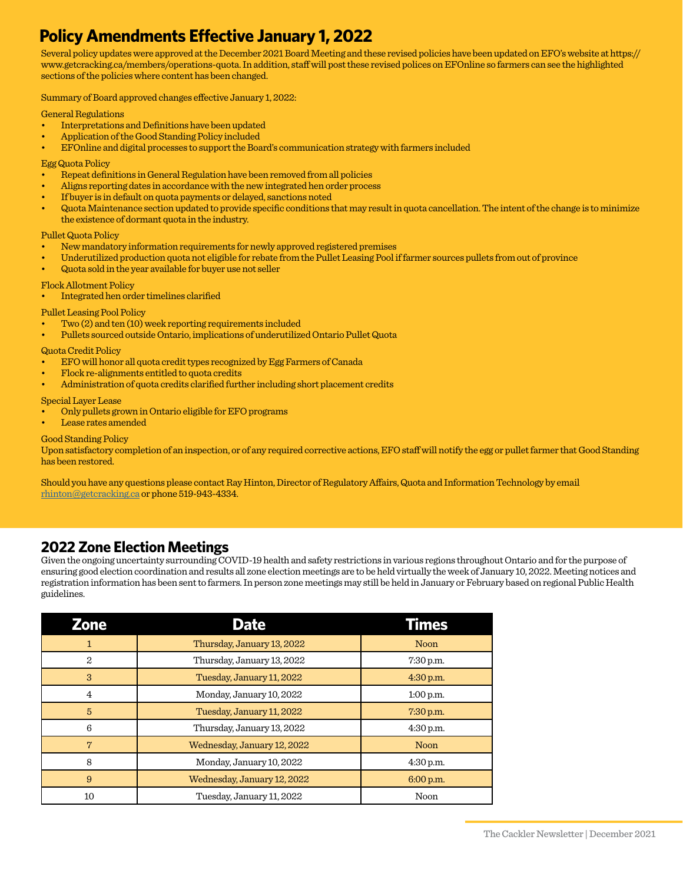### **Policy Amendments Effective January 1, 2022**

Several policy updates were approved at the December 2021 Board Meeting and these revised policies have been updated on EFO's website at https:// www.getcracking.ca/members/operations-quota. In addition, staff will post these revised polices on EFOnline so farmers can see the highlighted sections of the policies where content has been changed.

Summary of Board approved changes effective January 1, 2022:

General Regulations

- Interpretations and Definitions have been updated
- Application of the Good Standing Policy included
- EFOnline and digital processes to support the Board's communication strategy with farmers included

#### Egg Quota Policy

- Repeat definitions in General Regulation have been removed from all policies
- Aligns reporting dates in accordance with the new integrated hen order process
- If buyer is in default on quota payments or delayed, sanctions noted
- Quota Maintenance section updated to provide specific conditions that may result in quota cancellation. The intent of the change is to minimize the existence of dormant quota in the industry.

#### Pullet Quota Policy

- New mandatory information requirements for newly approved registered premises
- Underutilized production quota not eligible for rebate from the Pullet Leasing Pool if farmer sources pullets from out of province
- Quota sold in the year available for buyer use not seller

#### Flock Allotment Policy

• Integrated hen order timelines clarified

#### Pullet Leasing Pool Policy

- Two (2) and ten (10) week reporting requirements included
- Pullets sourced outside Ontario, implications of underutilized Ontario Pullet Quota

#### Quota Credit Policy

- EFO will honor all quota credit types recognized by Egg Farmers of Canada
- Flock re-alignments entitled to quota credits
- Administration of quota credits clarified further including short placement credits

#### Special Layer Lease

- Only pullets grown in Ontario eligible for EFO programs
- Lease rates amended

#### Good Standing Policy

Upon satisfactory completion of an inspection, or of any required corrective actions, EFO staff will notify the egg or pullet farmer that Good Standing has been restored.

Should you have any questions please contact Ray Hinton, Director of Regulatory Affairs, Quota and Information Technology by email [rhinton@getcracking.ca](mailto:rhinton%40getcracking.ca?subject=) or phone 519-943-4334.

#### **2022 Zone Election Meetings**

Given the ongoing uncertainty surrounding COVID-19 health and safety restrictions in various regions throughout Ontario and for the purpose of ensuring good election coordination and results all zone election meetings are to be held virtually the week of January 10, 2022. Meeting notices and registration information has been sent to farmers. In person zone meetings may still be held in January or February based on regional Public Health guidelines.

| Zone            | <b>Date</b>                 | Times       |
|-----------------|-----------------------------|-------------|
| 1               | Thursday, January 13, 2022  | Noon        |
| 2               | Thursday, January 13, 2022  | $7:30$ p.m. |
| 3               | Tuesday, January 11, 2022   | $4:30$ p.m. |
| 4               | Monday, January 10, 2022    | $1:00$ p.m. |
| $5\overline{5}$ | Tuesday, January 11, 2022   | $7:30$ p.m. |
| 6               | Thursday, January 13, 2022  | $4:30$ p.m. |
| 7               | Wednesday, January 12, 2022 | Noon        |
| 8               | Monday, January 10, 2022    | $4:30$ p.m. |
| 9               | Wednesday, January 12, 2022 | 6:00 p.m.   |
| 10              | Tuesday, January 11, 2022   | Noon        |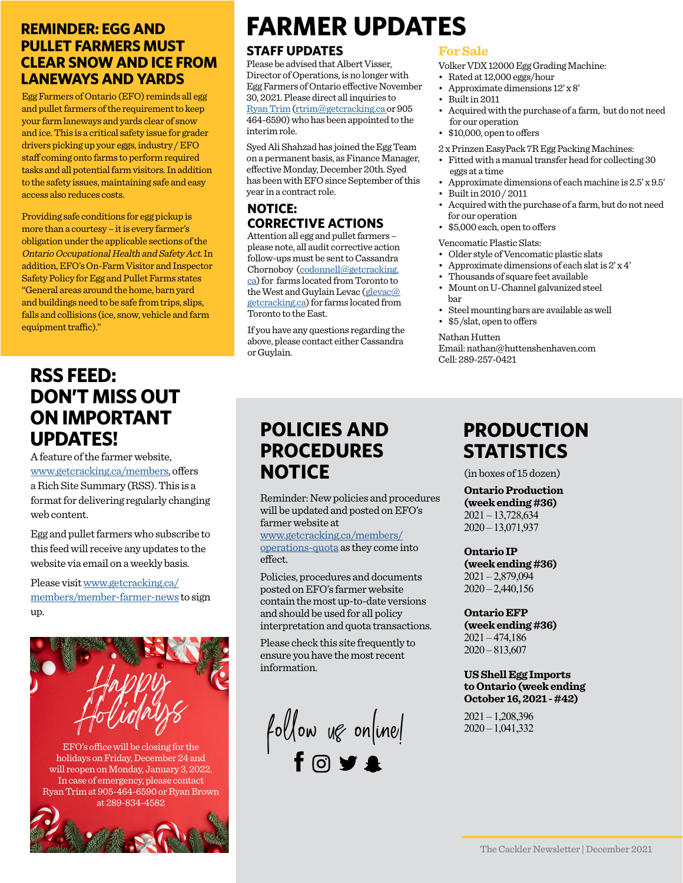#### **REMINDER: EGG AND PULLET FARMERS MUST CLEAR SNOW AND ICE FROM LANEWAYS AND YARDS**

Egg Farmers of Ontario (EFO) reminds all egg and pullet farmers of the requirement to keep your farm laneways and yards clear of snow and ice. This is a critical safety issue for grader drivers picking up your eggs, industry / EFO staff coming onto farms to perform required tasks and all potential farm visitors. In addition to the safety issues, maintaining safe and easy access also reduces costs.

Providing safe conditions for egg pickup is more than a courtesy – it is every farmer's obligation under the applicable sections of the Ontario Occupational Health and Safety Act. In addition, EFO's On-Farm Visitor and Inspector Safety Policy for Egg and Pullet Farms states "General areas around the home, barn yard and buildings need to be safe from trips, slips, falls and collisions (ice, snow, vehicle and farm equipment traffic)."

## **RSS FEED: DON'T MISS OUT ON IMPORTANT UPDATES!**

A feature of the farmer website, www.getcracking.ca/members, offers a Rich Site Summary (RSS). This is a format for delivering regularly changing web content.

Egg and pullet farmers who subscribe to this feed will receive any updates to the website via email on a weekly basis.

Please visit www.getcracking.ca/ members/member-farmer-news to sign up.



EFO's office will be closing for the holidays on Friday, December 24 and will reopen on Monday, January 3, 2022. In case of emergency, please contact Ryan Trim at 905-464-6590 or Ryan Brown at 289-834-4582



# **FARMER UPDATES**

#### **STAFF UPDATES**

Please be advised that Albert Visser, Director of Operations, is no longer with Egg Farmers of Ontario effective November 30, 2021. Please direct all inquiries to [Ryan Trim](mailto:?subject=) [\(rtrim@getcracking.ca o](mailto:rtrim%40getcracking.ca%20?subject=)r 905 464-6590) who has been appointed to the interim role.

Syed Ali Shahzad has joined the Egg Team on a permanent basis, as Finance Manager, effective Monday, December 20th. Syed has been with EFO since September of this year in a contract role.

#### **NOTICE: CORRECTIVE ACTIONS**

Attention all egg and pullet farmers – please note, all audit corrective action follow-ups must be sent to Cassandra Chornoboy ([codonnell@getcracking.](mailto:codonnell%40getcracking.ca?subject=) [ca\)](mailto:codonnell%40getcracking.ca?subject=) for farms located from Toronto to the West and Guylain Levac ([glevac@](mailto:glevac%40getcracking.ca?subject=) [getcracking.ca](mailto:glevac%40getcracking.ca?subject=)) for farms located from Toronto to the East.

If you have any questions regarding the above, please contact either Cassandra or Guylain.

#### **For Sale**

Volker VDX 12000 Egg Grading Machine:

- Rated at 12,000 eggs/hour
- Approximate dimensions 12' x 8'
- Built in 2011
- Acquired with the purchase of a farm, but do not need for our operation
- \$10,000, open to offers
- 2 x Prinzen EasyPack 7R Egg Packing Machines:
- Fitted with a manual transfer head for collecting 30 eggs at a time
- Approximate dimensions of each machine is 2.5' x 9.5'
- Built in 2010 / 2011
- Acquired with the purchase of a farm, but do not need for our operation
- \$5,000 each, open to offers

Vencomatic Plastic Slats:

- Older style of Vencomatic plastic slats
- Approximate dimensions of each slat is  $2' \times 4'$
- Thousands of square feet available
- Mount on U-Channel galvanized steel bar
- Steel mounting bars are available as well
- \$5 /slat, open to offers

Nathan Hutten

Email: nathan@huttenshenhaven.com Cell: 289-257-0421

# **POLICIES AND PROCEDURES NOTICE**

Reminder: New policies and procedures will be updated and posted on EFO's farmer website at

www.getcracking.ca/members/ operations-quota as they come into effect.

Policies, procedures and documents posted on EFO's farmer website contain the most up-to-date versions and should be used for all policy interpretation and quota transactions.

Please check this site frequently to ensure you have the most recent information.

 $f$ ollow ug online!

# **PRODUCTION STATISTICS**

(in boxes of 15 dozen)

**Ontario Production (week ending #36)**

2021 – 13,728,634 2020 – 13,071,937

#### **Ontario IP**

**(week ending #36)** 2021 – 2,879,094  $2020 - 2,440,156$ 

#### **Ontario EFP**

**(week ending #36)** 2021 – 474,186 2020 – 813,607

#### **US Shell Egg Imports to Ontario (week ending October 16, 2021 - #42)**

2021 – 1,208,396 2020 – 1,041,332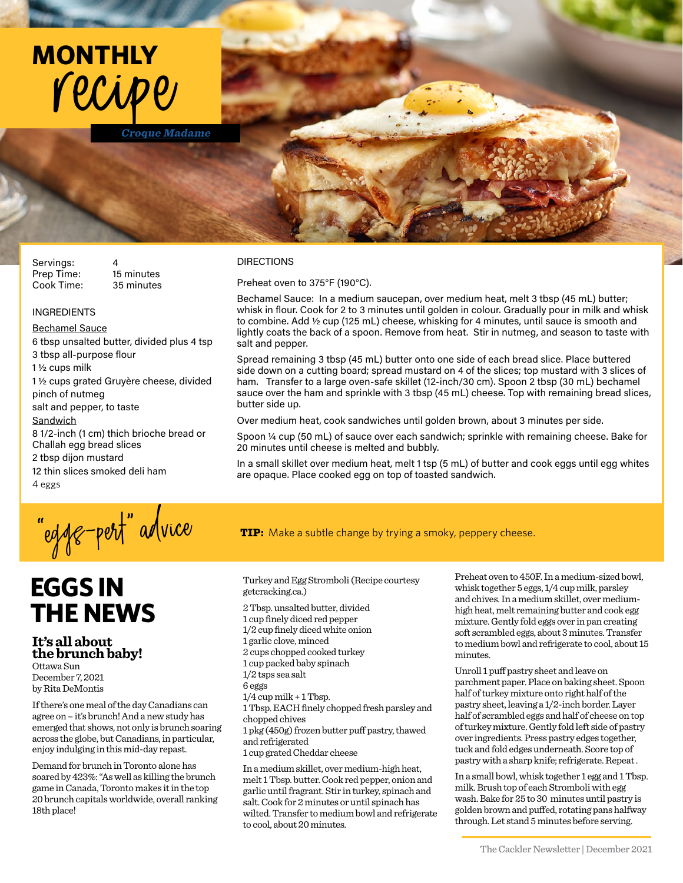

Servings:

Prep Time: 15 minutes Cook Time: 35 minutes

#### INGREDIENTS

Bechamel Sauce

6 tbsp unsalted butter, divided plus 4 tsp 3 tbsp all-purpose flour 1 ½ cups milk 1 ½ cups grated Gruyère cheese, divided pinch of nutmeg salt and pepper, to taste Sandwich 8 1/2-inch (1 cm) thich brioche bread or Challah egg bread slices 2 tbsp dijon mustard 12 thin slices smoked deli ham 4 eggs

#### DIRECTIONS

Preheat oven to 375°F (190°C).

Bechamel Sauce: In a medium saucepan, over medium heat, melt 3 tbsp (45 mL) butter; whisk in flour. Cook for 2 to 3 minutes until golden in colour. Gradually pour in milk and whisk to combine. Add  $\frac{1}{2}$  cup (125 mL) cheese, whisking for 4 minutes, until sauce is smooth and lightly coats the back of a spoon. Remove from heat. Stir in nutmeg, and season to taste with salt and pepper.

Spread remaining 3 tbsp (45 mL) butter onto one side of each bread slice. Place buttered side down on a cutting board; spread mustard on 4 of the slices; top mustard with 3 slices of ham. Transfer to a large oven-safe skillet (12-inch/30 cm). Spoon 2 tbsp (30 mL) bechamel sauce over the ham and sprinkle with 3 tbsp (45 mL) cheese. Top with remaining bread slices, butter side up.

Over medium heat, cook sandwiches until golden brown, about 3 minutes per side.

Spoon ¼ cup (50 mL) of sauce over each sandwich; sprinkle with remaining cheese. Bake for 20 minutes until cheese is melted and bubbly.

In a small skillet over medium heat, melt 1 tsp (5 mL) of butter and cook eggs until egg whites are opaque. Place cooked egg on top of toasted sandwich.

# **TIP:** Make a subtle change by trying a smoky, peppery cheese.

# **EGGS IN THE NEWS**

**It's all about the brunch baby!** Ottawa Sun

December 7, 2021 by Rita DeMontis

If there's one meal of the day Canadians can agree on – it's brunch! And a new study has emerged that shows, not only is brunch soaring across the globe, but Canadians, in particular, enjoy indulging in this mid-day repast.

Demand for brunch in Toronto alone has soared by 423%: "As well as killing the brunch game in Canada, Toronto makes it in the top 20 brunch capitals worldwide, overall ranking 18th place!

Turkey and Egg Stromboli (Recipe courtesy getcracking.ca.)

2 Tbsp. unsalted butter, divided 1 cup finely diced red pepper 1/2 cup finely diced white onion 1 garlic clove, minced 2 cups chopped cooked turkey 1 cup packed baby spinach 1/2 tsps sea salt 6 eggs  $1/4$  cup milk  $+1$  Tbsp. 1 Tbsp. EACH finely chopped fresh parsley and chopped chives 1 pkg (450g) frozen butter puff pastry, thawed and refrigerated 1 cup grated Cheddar cheese

In a medium skillet, over medium-high heat, melt 1 Tbsp. butter. Cook red pepper, onion and garlic until fragrant. Stir in turkey, spinach and salt. Cook for 2 minutes or until spinach has wilted. Transfer to medium bowl and refrigerate to cool, about 20 minutes.

Preheat oven to 450F. In a medium-sized bowl, whisk together 5 eggs, 1/4 cup milk, parsley and chives. In a medium skillet, over mediumhigh heat, melt remaining butter and cook egg mixture. Gently fold eggs over in pan creating soft scrambled eggs, about 3 minutes. Transfer to medium bowl and refrigerate to cool, about 15 minutes.

Unroll 1 puff pastry sheet and leave on parchment paper. Place on baking sheet. Spoon half of turkey mixture onto right half of the pastry sheet, leaving a 1/2-inch border. Layer half of scrambled eggs and half of cheese on top of turkey mixture. Gently fold left side of pastry over ingredients. Press pastry edges together, tuck and fold edges underneath. Score top of pastry with a sharp knife; refrigerate. Repeat .

In a small bowl, whisk together 1 egg and 1 Tbsp. milk. Brush top of each Stromboli with egg wash. Bake for 25 to 30 minutes until pastry is golden brown and puffed, rotating pans halfway through. Let stand 5 minutes before serving.